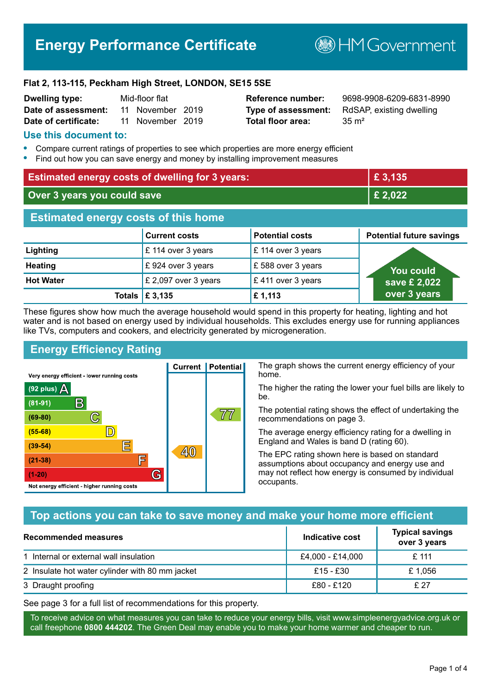# **Energy Performance Certificate**

**B**HM Government

#### **Flat 2, 113-115, Peckham High Street, LONDON, SE15 5SE**

| <b>Dwelling type:</b> | Mid-floor flat |                  |  |
|-----------------------|----------------|------------------|--|
| Date of assessment:   |                | 11 November 2019 |  |
| Date of certificate:  |                | 11 November 2019 |  |

# **Total floor area:** 35 m<sup>2</sup>

**Reference number:** 9698-9908-6209-6831-8990 **Type of assessment:** RdSAP, existing dwelling

#### **Use this document to:**

- **•** Compare current ratings of properties to see which properties are more energy efficient
- **•** Find out how you can save energy and money by installing improvement measures

| <b>Estimated energy costs of dwelling for 3 years:</b> |                                 | £ 3,135                |                                 |
|--------------------------------------------------------|---------------------------------|------------------------|---------------------------------|
| Over 3 years you could save                            |                                 | £ 2,022                |                                 |
| <b>Estimated energy costs of this home</b>             |                                 |                        |                                 |
|                                                        | <b>Current costs</b>            | <b>Potential costs</b> | <b>Potential future savings</b> |
| Lighting                                               | £ 114 over 3 years              | £ 114 over 3 years     |                                 |
| <b>Heating</b>                                         | £924 over 3 years               | £588 over 3 years      | You could                       |
| <b>Hot Water</b>                                       | £ 2,097 over 3 years            | £411 over 3 years      | save £ 2,022                    |
|                                                        | Totals $\mathbf \epsilon$ 3,135 | £1,113                 | over 3 years                    |

These figures show how much the average household would spend in this property for heating, lighting and hot water and is not based on energy used by individual households. This excludes energy use for running appliances like TVs, computers and cookers, and electricity generated by microgeneration.

**Current | Potential** 

 $40$ 

# **Energy Efficiency Rating**

 $\mathbb{C}$ 

 $\mathbb{D}$ 

E

庐

G

Very energy efficient - lower running costs

 $\mathsf{R}% _{T}$ 

Not energy efficient - higher running costs

 $(92$  plus)

 $(81 - 91)$ 

 $(69 - 80)$ 

 $(55-68)$ 

 $(39 - 54)$ 

 $(21-38)$ 

 $(1-20)$ 

- 78

The graph shows the current energy efficiency of your home.

The higher the rating the lower your fuel bills are likely to be.

The potential rating shows the effect of undertaking the recommendations on page 3.

The average energy efficiency rating for a dwelling in England and Wales is band D (rating 60).

The EPC rating shown here is based on standard assumptions about occupancy and energy use and may not reflect how energy is consumed by individual occupants.

### **Top actions you can take to save money and make your home more efficient**

 $\overline{7}\overline{7}$ 

| Recommended measures                            | Indicative cost  | <b>Typical savings</b><br>over 3 years |
|-------------------------------------------------|------------------|----------------------------------------|
| 1 Internal or external wall insulation          | £4,000 - £14,000 | £ 111                                  |
| 2 Insulate hot water cylinder with 80 mm jacket | $£15 - £30$      | £1.056                                 |
| 3 Draught proofing                              | £80 - £120       | £ 27                                   |

See page 3 for a full list of recommendations for this property.

To receive advice on what measures you can take to reduce your energy bills, visit www.simpleenergyadvice.org.uk or call freephone **0800 444202**. The Green Deal may enable you to make your home warmer and cheaper to run.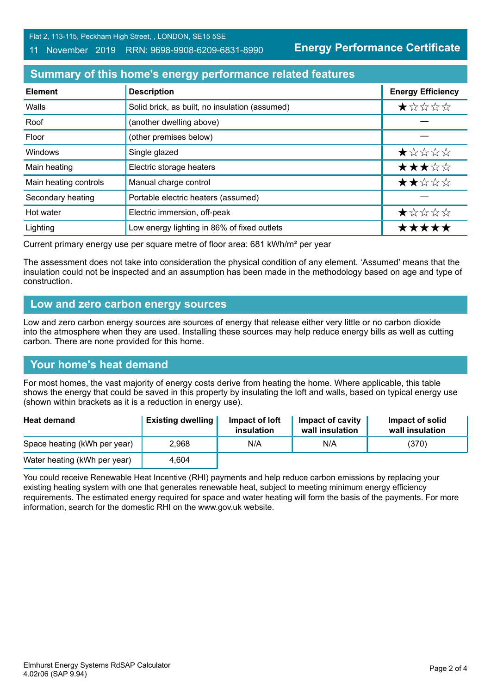Flat 2, 113-115, Peckham High Street, , LONDON, SE15 5SE

#### 11 November 2019 RRN: 9698-9908-6209-6831-8990

**Energy Performance Certificate**

# **Summary of this home's energy performance related features**

| <b>Element</b>        | <b>Description</b>                             | <b>Energy Efficiency</b> |
|-----------------------|------------------------------------------------|--------------------------|
| Walls                 | Solid brick, as built, no insulation (assumed) | *****                    |
| Roof                  | (another dwelling above)                       |                          |
| Floor                 | (other premises below)                         |                          |
| Windows               | Single glazed                                  | *****                    |
| Main heating          | Electric storage heaters                       | ★★★☆☆                    |
| Main heating controls | Manual charge control                          | ★★☆☆☆                    |
| Secondary heating     | Portable electric heaters (assumed)            |                          |
| Hot water             | Electric immersion, off-peak                   | ★☆☆☆☆                    |
| Lighting              | Low energy lighting in 86% of fixed outlets    | *****                    |

Current primary energy use per square metre of floor area: 681 kWh/m² per year

The assessment does not take into consideration the physical condition of any element. 'Assumed' means that the insulation could not be inspected and an assumption has been made in the methodology based on age and type of construction.

#### **Low and zero carbon energy sources**

Low and zero carbon energy sources are sources of energy that release either very little or no carbon dioxide into the atmosphere when they are used. Installing these sources may help reduce energy bills as well as cutting carbon. There are none provided for this home.

### **Your home's heat demand**

For most homes, the vast majority of energy costs derive from heating the home. Where applicable, this table shows the energy that could be saved in this property by insulating the loft and walls, based on typical energy use (shown within brackets as it is a reduction in energy use).

| <b>Heat demand</b>           | <b>Existing dwelling</b> | Impact of loft<br>insulation | Impact of cavity<br>wall insulation | Impact of solid<br>wall insulation |
|------------------------------|--------------------------|------------------------------|-------------------------------------|------------------------------------|
| Space heating (kWh per year) | 2.968                    | N/A                          | N/A                                 | (370)                              |
| Water heating (kWh per year) | 4.604                    |                              |                                     |                                    |

You could receive Renewable Heat Incentive (RHI) payments and help reduce carbon emissions by replacing your existing heating system with one that generates renewable heat, subject to meeting minimum energy efficiency requirements. The estimated energy required for space and water heating will form the basis of the payments. For more information, search for the domestic RHI on the www.gov.uk website.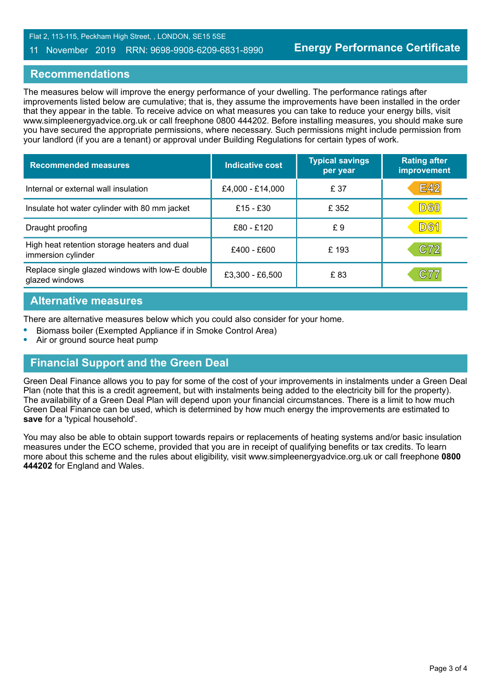#### 11 November 2019 RRN: 9698-9908-6209-6831-8990

#### **Recommendations**

The measures below will improve the energy performance of your dwelling. The performance ratings after improvements listed below are cumulative; that is, they assume the improvements have been installed in the order that they appear in the table. To receive advice on what measures you can take to reduce your energy bills, visit www.simpleenergyadvice.org.uk or call freephone 0800 444202. Before installing measures, you should make sure you have secured the appropriate permissions, where necessary. Such permissions might include permission from your landlord (if you are a tenant) or approval under Building Regulations for certain types of work.

| <b>Recommended measures</b>                                        | Indicative cost  | <b>Typical savings</b><br>per year | <b>Rating after</b><br>improvement |
|--------------------------------------------------------------------|------------------|------------------------------------|------------------------------------|
| Internal or external wall insulation                               | £4,000 - £14,000 | £ 37                               | <b>E42</b>                         |
| Insulate hot water cylinder with 80 mm jacket                      | £15 - £30        | £ 352                              | <b>D60</b>                         |
| Draught proofing                                                   | £80 - £120       | £9                                 | <b>D61</b>                         |
| High heat retention storage heaters and dual<br>immersion cylinder | £400 - £600      | £193                               | C72                                |
| Replace single glazed windows with low-E double<br>glazed windows  | £3,300 - £6,500  | £83                                | C77                                |

### **Alternative measures**

There are alternative measures below which you could also consider for your home.

- **•** Biomass boiler (Exempted Appliance if in Smoke Control Area)
- **•** Air or ground source heat pump

### **Financial Support and the Green Deal**

Green Deal Finance allows you to pay for some of the cost of your improvements in instalments under a Green Deal Plan (note that this is a credit agreement, but with instalments being added to the electricity bill for the property). The availability of a Green Deal Plan will depend upon your financial circumstances. There is a limit to how much Green Deal Finance can be used, which is determined by how much energy the improvements are estimated to **save** for a 'typical household'.

You may also be able to obtain support towards repairs or replacements of heating systems and/or basic insulation measures under the ECO scheme, provided that you are in receipt of qualifying benefits or tax credits. To learn more about this scheme and the rules about eligibility, visit www.simpleenergyadvice.org.uk or call freephone **0800 444202** for England and Wales.